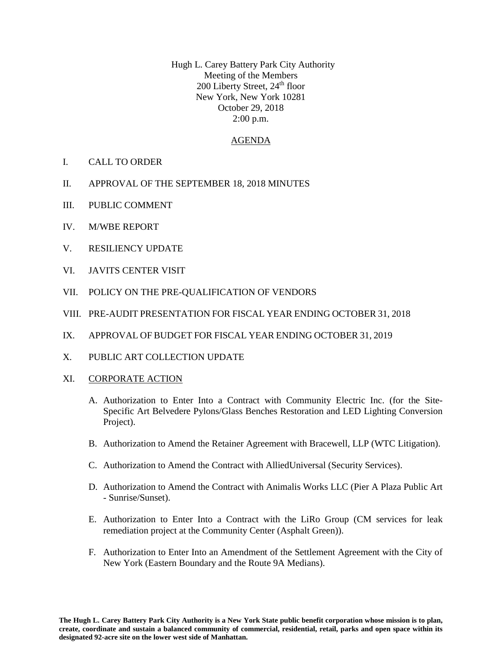Hugh L. Carey Battery Park City Authority Meeting of the Members 200 Liberty Street, 24<sup>th</sup> floor New York, New York 10281 October 29, 2018 2:00 p.m.

## AGENDA

- I. CALL TO ORDER
- II. APPROVAL OF THE SEPTEMBER 18, 2018 MINUTES
- III. PUBLIC COMMENT
- IV. M/WBE REPORT
- V. RESILIENCY UPDATE
- VI. JAVITS CENTER VISIT
- VII. POLICY ON THE PRE-QUALIFICATION OF VENDORS
- VIII. PRE-AUDIT PRESENTATION FOR FISCAL YEAR ENDING OCTOBER 31, 2018
- IX. APPROVAL OF BUDGET FOR FISCAL YEAR ENDING OCTOBER 31, 2019
- X. PUBLIC ART COLLECTION UPDATE

## XI. CORPORATE ACTION

- A. Authorization to Enter Into a Contract with Community Electric Inc. (for the Site-Specific Art Belvedere Pylons/Glass Benches Restoration and LED Lighting Conversion Project).
- B. Authorization to Amend the Retainer Agreement with Bracewell, LLP (WTC Litigation).
- C. Authorization to Amend the Contract with AlliedUniversal (Security Services).
- D. Authorization to Amend the Contract with Animalis Works LLC (Pier A Plaza Public Art - Sunrise/Sunset).
- E. Authorization to Enter Into a Contract with the LiRo Group (CM services for leak remediation project at the Community Center (Asphalt Green)).
- F. Authorization to Enter Into an Amendment of the Settlement Agreement with the City of New York (Eastern Boundary and the Route 9A Medians).

**The Hugh L. Carey Battery Park City Authority is a New York State public benefit corporation whose mission is to plan, create, coordinate and sustain a balanced community of commercial, residential, retail, parks and open space within its designated 92-acre site on the lower west side of Manhattan.**